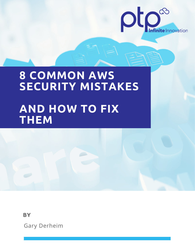

# **8 COMMON AWS SECURITY MISTAKES AND HOW TO FIX THEM**

**BY**

Gary Derheim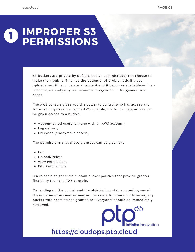#### **IMPROPER S3 PERMISSIONS 1**

S3 buckets are private by default, but an administrator can choose to make them public. This has the potential of problematic if a user uploads sensitive or personal content and it becomes available online which is precisely why we recommend against this for general use cases.

The AWS console gives you the power to control who has access and for what purposes. Using the AWS console, the following grantees can be given access to a bucket:

- Authenticated users (anyone with an AWS account)
- Log delivery
- Everyone (anonymous access)

The permissions that these grantees can be given are:

- List
- Upload/Delete
- View Permissions
- Edit Permissions

Users can also generate custom bucket policies that provide greater flexibility than the AWS console.

Depending on the bucket and the objects it contains, granting any of these permissions may or may not be cause for concern. However, any bucket with permissions granted to "Everyone" should be immediately reviewed.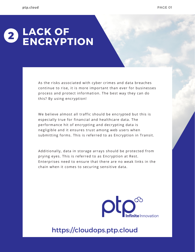#### **LACK OF ENCRYPTION 2**

As the risks associated with cyber crimes and data breaches continue to rise, it is more important than ever for businesses process and protect information. The best way they can do this? By using encryption!

We believe almost all traffic should be encrypted but this is especially true for financial and healthcare data. The performance hit of encrypting and decrypting data is negligible and it ensures trust among web users when submitting forms. This is referred to as Encryption in Transit.

Additionally, data in storage arrays should be protected from prying eyes. This is referred to as Encryption at Rest. Enterprises need to ensure that there are no weak links in the chain when it comes to securing sensitive data.

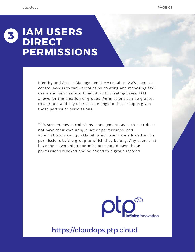### **IAM USERS DIRECT PERMISSIONS 3**

Identity and Access Management (IAM) enables AWS users to control access to their account by creating and managing AWS users and permissions. In addition to creating users, IAM allows for the creation of groups. Permissions can be granted to a group, and any user that belongs to that group is given those particular permissions.

This streamlines permissions management, as each user does not have their own unique set of permissions, and administrators can quickly tell which users are allowed which permissions by the group to which they belong. Any users that have their own unique permissions should have those permissions revoked and be added to a group instead.

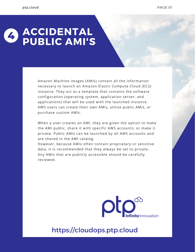#### **ACCIDENTAL PUBLIC AMI'S 4**

Amazon Machine Images (AMIs) contain all the information necessary to launch an Amazon Elastic Compute Cloud (EC2) instance. They act as a template that contains the software configuration (operating system, application server, and applications) that will be used with the launched instance. AWS users can create their own AMIs, utilize public AMIs, or purchase custom AMIs.

When a user creates an AMI, they are given the option to make the AMI public, share it with specific AWS accounts, or make it private. Public AMIs can be launched by all AWS accounts and are shared in the AMI catalog.

However, because AMIs often contain proprietary or sensitive data, it is recommended that they always be set to private. Any AMIs that are publicly accessible should be carefully reviewed.

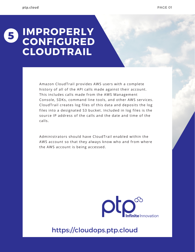# **IMPROPERLY CONFIGURED CLOUDTRAIL 5**

Amazon CloudTrail provides AWS users with a complete history of all of the API calls made against their account. This includes calls made from the AWS Management Console, SDKs, command line tools, and other AWS services. CloudTrail creates log files of this data and deposits the log files into a designated S3 bucket. Included in log files is the source IP address of the calls and the date and time of the calls.

Administrators should have CloudTrail enabled within the AWS account so that they always know who and from where the AWS account is being accessed.

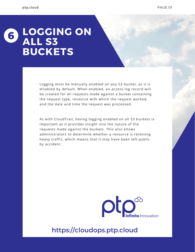#### **LOGGING ON ALL S3 BUCKETS 6**

Logging must be manually enabled on any S3 bucket, as it is disabled by default. When enabled, an access log record will be created for all requests made against a bucket containing the request type, resource with which the request worked, and the date and time the request was processed.

As with CloudTrail, having logging enabled on all S3 buckets is important as it provides insight into the nature of the requests made against the buckets. This also allows administrators to determine whether a resource is receiving heavy traffic, which means that it may have been left public by accident.

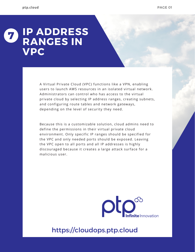#### **IP ADDRESS RANGES IN VPC 7**

A Virtual Private Cloud (VPC) functions like a VPN, enabling users to launch AWS resources in an isolated virtual network. Administrators can control who has access to the virtual private cloud by selecting IP address ranges, creating subnets, and configuring route tables and network gateways, depending on the level of security they need.

Because this is a customizable solution, cloud admins need to define the permissions in their virtual private cloud environment. Only specific IP ranges should be specified for the VPC and only needed ports should be exposed. Leaving the VPC open to all ports and all IP addresses is highly discouraged because it creates a large attack surface for a malicious user.

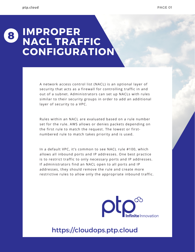## **IMPROPER NACL TRAFFIC CONFIGURATION 8**

A network access control list (NACL) is an optional layer of security that acts as a firewall for controlling traffic in and out of a subnet. Administrators can set up NACLs with rules similar to their security groups in order to add an additional layer of security to a VPC.

Rules within an NACL are evaluated based on a rule number set for the rule. AWS allows or denies packets depending on the first rule to match the request. The lowest or firstnumbered rule to match takes priority and is used.

In a default VPC, it's common to see [NACL](https://docs.aws.amazon.com/vpc/latest/userguide/vpc-network-acls.html) rule #100, which allows all inbound ports and IP addresses. One best practice is to restrict traffic to only necessary ports and IP addresses. If administrators find an NACL open to all ports and IP addresses, they should remove the rule and create more restrictive rules to allow only the appropriate inbound traffic.